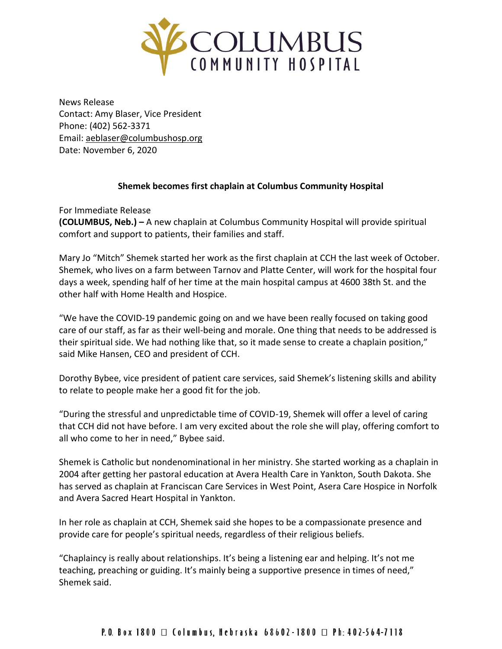

News Release Contact: Amy Blaser, Vice President Phone: (402) 562-3371 Email: [aeblaser@columbushosp.org](mailto:aeblaser@columbushosp.org) Date: November 6, 2020

## **Shemek becomes first chaplain at Columbus Community Hospital**

For Immediate Release **(COLUMBUS, Neb.) –** A new chaplain at Columbus Community Hospital will provide spiritual comfort and support to patients, their families and staff.

Mary Jo "Mitch" Shemek started her work as the first chaplain at CCH the last week of October. Shemek, who lives on a farm between Tarnov and Platte Center, will work for the hospital four days a week, spending half of her time at the main hospital campus at 4600 38th St. and the other half with Home Health and Hospice.

"We have the COVID-19 pandemic going on and we have been really focused on taking good care of our staff, as far as their well-being and morale. One thing that needs to be addressed is their spiritual side. We had nothing like that, so it made sense to create a chaplain position," said Mike Hansen, CEO and president of CCH.

Dorothy Bybee, vice president of patient care services, said Shemek's listening skills and ability to relate to people make her a good fit for the job.

"During the stressful and unpredictable time of COVID-19, Shemek will offer a level of caring that CCH did not have before. I am very excited about the role she will play, offering comfort to all who come to her in need," Bybee said.

Shemek is Catholic but nondenominational in her ministry. She started working as a chaplain in 2004 after getting her pastoral education at Avera Health Care in Yankton, South Dakota. She has served as chaplain at Franciscan Care Services in West Point, Asera Care Hospice in Norfolk and Avera Sacred Heart Hospital in Yankton.

In her role as chaplain at CCH, Shemek said she hopes to be a compassionate presence and provide care for people's spiritual needs, regardless of their religious beliefs.

"Chaplaincy is really about relationships. It's being a listening ear and helping. It's not me teaching, preaching or guiding. It's mainly being a supportive presence in times of need," Shemek said.